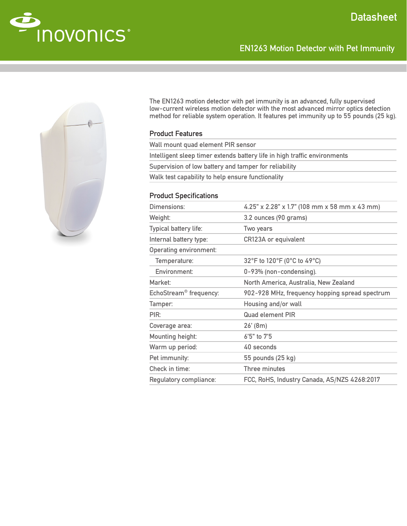

The EN1263 motion detector with pet immunity is an advanced, fully supervised low-current wireless motion detector with the most advanced mirror optics detection method for reliable system operation. It features pet immunity up to 55 pounds (25 kg).

EN1263 Motion Detector with Pet Immunity

# Product Features

| Wall mount quad element PIR sensor                                        |
|---------------------------------------------------------------------------|
| Intelligent sleep timer extends battery life in high traffic environments |
| Supervision of low battery and tamper for reliability                     |
| Walk test capability to help ensure functionality                         |
|                                                                           |

# Product Specifications

| Dimensions:                        | 4.25" x 2.28" x 1.7" (108 mm x 58 mm x 43 mm)  |
|------------------------------------|------------------------------------------------|
| Weight:                            | 3.2 ounces (90 grams)                          |
| Typical battery life:              | Two years                                      |
| Internal battery type:             | <b>CR123A or equivalent</b>                    |
| <b>Operating environment:</b>      |                                                |
| Temperature:                       | 32°F to 120°F (0°C to 49°C)                    |
| Environment:                       | 0-93% (non-condensing).                        |
| Market:                            | North America, Australia, New Zealand          |
| EchoStream <sup>®</sup> frequency: | 902-928 MHz, frequency hopping spread spectrum |
| Tamper:                            | Housing and/or wall                            |
| PIR:                               | <b>Quad element PIR</b>                        |
| Coverage area:                     | $26'$ (8m)                                     |
| Mounting height:                   | 6'5" to 7'5                                    |
| Warm up period:                    | 40 seconds                                     |
| Pet immunity:                      | 55 pounds (25 kg)                              |
| Check in time:                     | Three minutes                                  |
| Regulatory compliance:             | FCC, RoHS, Industry Canada, AS/NZS 4268:2017   |